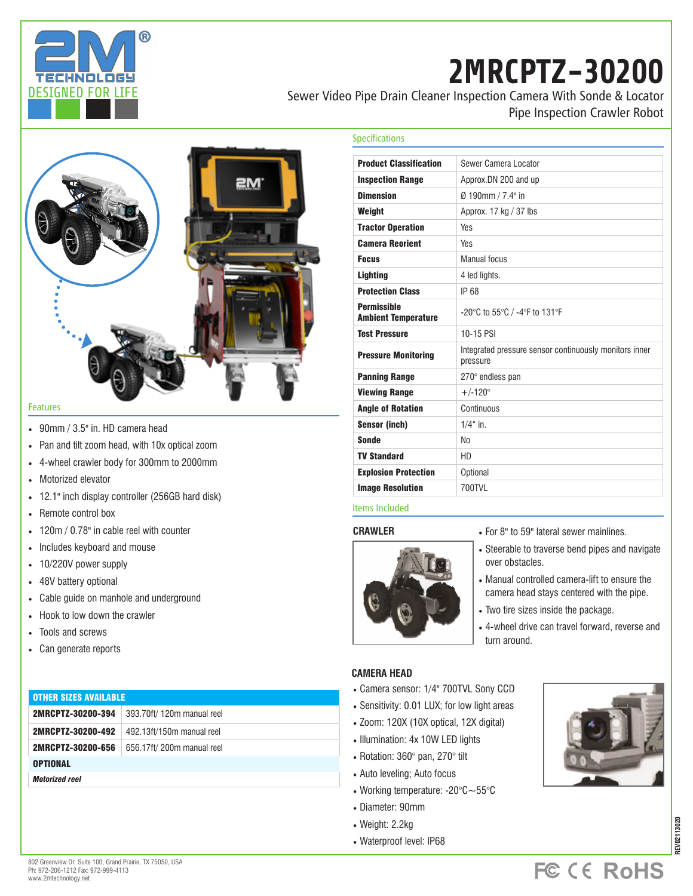

# **2MRCPTZ-30200**

Sewer Video Pipe Drain Cleaner Inspection Camera With Sonde & Locator Pipe Inspection Crawler Robot



- 90mm / 3.5" in. HD camera head
- Pan and tilt zoom head, with 10x optical zoom
- 4-wheel crawler body for 300mm to 2000mm
- Motorized elevator
- 12.1" inch display controller (256GB hard disk)
- Remote control box
- 120m / 0.78" in cable reel with counter
- Includes keyboard and mouse
- 10/220V power supply
- 48V battery optional
- Cable guide on manhole and underground
- Hook to low down the crawler
- Tools and screws
- Can generate reports

### OTHER SIZES AVAILABLE

2MRCPTZ-30200-394 393.70ft/ 120m manual reel

2MRCPTZ-30200-492 492.13ft/150m manual reel

2MRCPTZ-30200-656 656.17ft/ 200m manual reel

**OPTIONAL** 

*Motorized reel*

| <b>Product Classification</b>                    | Sewer Camera Locator                                               |
|--------------------------------------------------|--------------------------------------------------------------------|
| <b>Inspection Range</b>                          | Approx.DN 200 and up                                               |
| <b>Dimension</b>                                 | Ø 190mm / 7.4" in                                                  |
| Weight                                           | Approx. 17 kg / 37 lbs                                             |
| <b>Tractor Operation</b>                         | <b>Yes</b>                                                         |
| <b>Camera Reorient</b>                           | <b>Yes</b>                                                         |
| <b>Focus</b>                                     | <b>Manual focus</b>                                                |
| <b>Lighting</b>                                  | 4 led lights.                                                      |
| <b>Protection Class</b>                          | IP 68                                                              |
| <b>Permissible</b><br><b>Ambient Temperature</b> | -20°C to 55°C / -4°F to 131°F                                      |
| <b>Test Pressure</b>                             | 10-15 PSI                                                          |
| <b>Pressure Monitoring</b>                       | Integrated pressure sensor continuously monitors inner<br>pressure |
| <b>Panning Range</b>                             | 270° endless pan                                                   |
| <b>Viewing Range</b>                             | $+/-120^{\circ}$                                                   |
| <b>Angle of Rotation</b>                         | Continuous                                                         |
| <b>Sensor (inch)</b>                             | $1/4$ " in.                                                        |
| <b>Sonde</b>                                     | No.                                                                |
| <b>TV Standard</b>                               | HD.                                                                |
| <b>Explosion Protection</b>                      | Optional                                                           |
| <b>Image Resolution</b>                          | 700TVI                                                             |
|                                                  |                                                                    |

### Items Included

Specifications

**CRAWLER**



- For 8" to 59" lateral sewer mainlines.
- Steerable to traverse bend pipes and navigate over obstacles.
- Manual controlled camera-lift to ensure the camera head stays centered with the pipe.
- Two tire sizes inside the package.
- 4-wheel drive can travel forward, reverse and turn around.

### **CAMERA HEAD**

- Camera sensor: 1/4" 700TVL Sony CCD
- Sensitivity: 0.01 LUX; for low light areas
- Zoom: 120X (10X optical, 12X digital)
- Illumination: 4x 10W LED lights
- Rotation: 360° pan, 270° tilt
- Auto leveling; Auto focus
- Working temperature: -20°C~55°C
- Diameter: 90mm
- Weight: 2.2kg
- Waterproof level: IP68



## **FC CE RoHS**